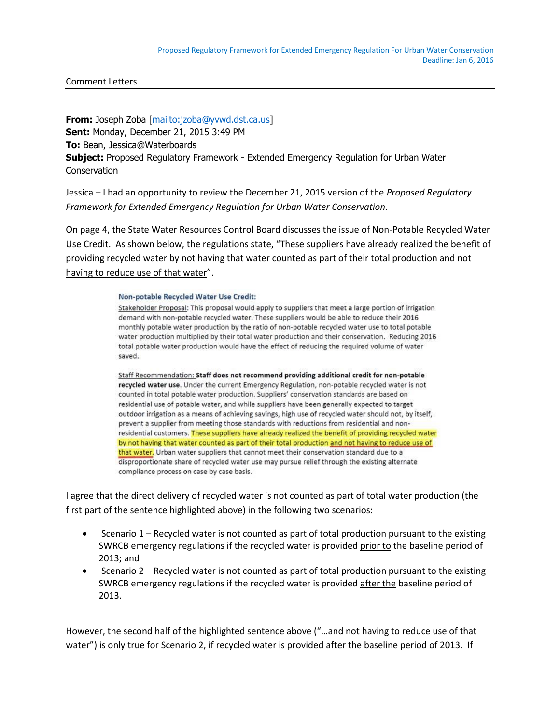Comment Letters

**From:** Joseph Zoba [\[mailto:jzoba@yvwd.dst.ca.us\]](mailto:jzoba@yvwd.dst.ca.us) **Sent:** Monday, December 21, 2015 3:49 PM **To:** Bean, Jessica@Waterboards **Subject:** Proposed Regulatory Framework - Extended Emergency Regulation for Urban Water **Conservation** 

Jessica – I had an opportunity to review the December 21, 2015 version of the *Proposed Regulatory Framework for Extended Emergency Regulation for Urban Water Conservation*.

On page 4, the State Water Resources Control Board discusses the issue of Non-Potable Recycled Water Use Credit. As shown below, the regulations state, "These suppliers have already realized the benefit of providing recycled water by not having that water counted as part of their total production and not having to reduce use of that water".

## Non-potable Recycled Water Use Credit:

Stakeholder Proposal: This proposal would apply to suppliers that meet a large portion of irrigation demand with non-potable recycled water. These suppliers would be able to reduce their 2016 monthly potable water production by the ratio of non-potable recycled water use to total potable water production multiplied by their total water production and their conservation. Reducing 2016 total potable water production would have the effect of reducing the required volume of water saved.

Staff Recommendation: Staff does not recommend providing additional credit for non-potable recycled water use. Under the current Emergency Regulation, non-potable recycled water is not counted in total potable water production. Suppliers' conservation standards are based on residential use of potable water, and while suppliers have been generally expected to target outdoor irrigation as a means of achieving savings, high use of recycled water should not, by itself, prevent a supplier from meeting those standards with reductions from residential and nonresidential customers. These suppliers have already realized the benefit of providing recycled water by not having that water counted as part of their total production and not having to reduce use of that water. Urban water suppliers that cannot meet their conservation standard due to a disproportionate share of recycled water use may pursue relief through the existing alternate compliance process on case by case basis.

I agree that the direct delivery of recycled water is not counted as part of total water production (the first part of the sentence highlighted above) in the following two scenarios:

- $\bullet$  Scenario 1 Recycled water is not counted as part of total production pursuant to the existing SWRCB emergency regulations if the recycled water is provided prior to the baseline period of 2013; and
- Scenario 2 Recycled water is not counted as part of total production pursuant to the existing SWRCB emergency regulations if the recycled water is provided after the baseline period of 2013.

However, the second half of the highlighted sentence above ("…and not having to reduce use of that water") is only true for Scenario 2, if recycled water is provided after the baseline period of 2013. If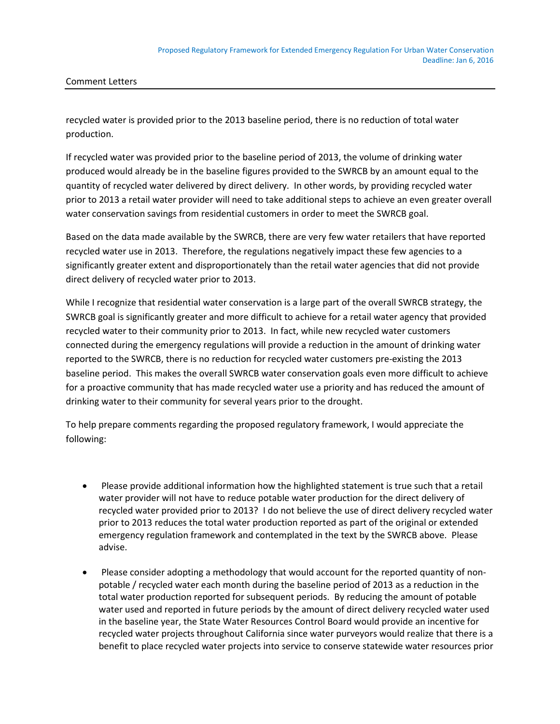Comment Letters

recycled water is provided prior to the 2013 baseline period, there is no reduction of total water production.

If recycled water was provided prior to the baseline period of 2013, the volume of drinking water produced would already be in the baseline figures provided to the SWRCB by an amount equal to the quantity of recycled water delivered by direct delivery. In other words, by providing recycled water prior to 2013 a retail water provider will need to take additional steps to achieve an even greater overall water conservation savings from residential customers in order to meet the SWRCB goal.

Based on the data made available by the SWRCB, there are very few water retailers that have reported recycled water use in 2013. Therefore, the regulations negatively impact these few agencies to a significantly greater extent and disproportionately than the retail water agencies that did not provide direct delivery of recycled water prior to 2013.

While I recognize that residential water conservation is a large part of the overall SWRCB strategy, the SWRCB goal is significantly greater and more difficult to achieve for a retail water agency that provided recycled water to their community prior to 2013. In fact, while new recycled water customers connected during the emergency regulations will provide a reduction in the amount of drinking water reported to the SWRCB, there is no reduction for recycled water customers pre-existing the 2013 baseline period. This makes the overall SWRCB water conservation goals even more difficult to achieve for a proactive community that has made recycled water use a priority and has reduced the amount of drinking water to their community for several years prior to the drought.

To help prepare comments regarding the proposed regulatory framework, I would appreciate the following:

- Please provide additional information how the highlighted statement is true such that a retail water provider will not have to reduce potable water production for the direct delivery of recycled water provided prior to 2013? I do not believe the use of direct delivery recycled water prior to 2013 reduces the total water production reported as part of the original or extended emergency regulation framework and contemplated in the text by the SWRCB above. Please advise.
- Please consider adopting a methodology that would account for the reported quantity of nonpotable / recycled water each month during the baseline period of 2013 as a reduction in the total water production reported for subsequent periods. By reducing the amount of potable water used and reported in future periods by the amount of direct delivery recycled water used in the baseline year, the State Water Resources Control Board would provide an incentive for recycled water projects throughout California since water purveyors would realize that there is a benefit to place recycled water projects into service to conserve statewide water resources prior